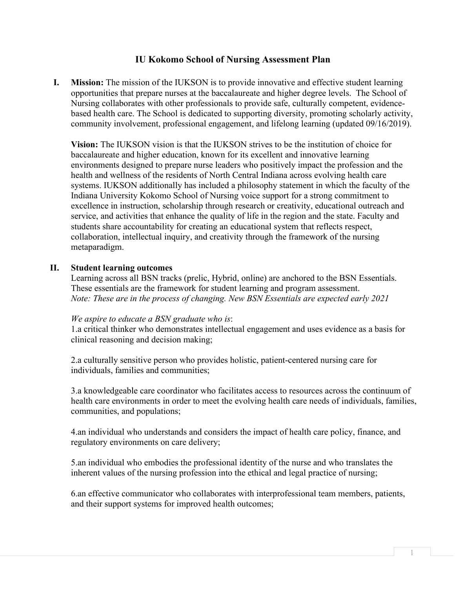# **IU Kokomo School of Nursing Assessment Plan**

**I. Mission:** The mission of the IUKSON is to provide innovative and effective student learning opportunities that prepare nurses at the baccalaureate and higher degree levels. The School of Nursing collaborates with other professionals to provide safe, culturally competent, evidencebased health care. The School is dedicated to supporting diversity, promoting scholarly activity, community involvement, professional engagement, and lifelong learning (updated 09/16/2019).

**Vision:** The IUKSON vision is that the IUKSON strives to be the institution of choice for baccalaureate and higher education, known for its excellent and innovative learning environments designed to prepare nurse leaders who positively impact the profession and the health and wellness of the residents of North Central Indiana across evolving health care systems. IUKSON additionally has included a philosophy statement in which the faculty of the Indiana University Kokomo School of Nursing voice support for a strong commitment to excellence in instruction, scholarship through research or creativity, educational outreach and service, and activities that enhance the quality of life in the region and the state. Faculty and students share accountability for creating an educational system that reflects respect, collaboration, intellectual inquiry, and creativity through the framework of the nursing metaparadigm.

### **II. Student learning outcomes**

Learning across all BSN tracks (prelic, Hybrid, online) are anchored to the BSN Essentials. These essentials are the framework for student learning and program assessment. *Note: These are in the process of changing. New BSN Essentials are expected early 2021*

#### *We aspire to educate a BSN graduate who is*:

1.a critical thinker who demonstrates intellectual engagement and uses evidence as a basis for clinical reasoning and decision making;

2.a culturally sensitive person who provides holistic, patient-centered nursing care for individuals, families and communities;

3.a knowledgeable care coordinator who facilitates access to resources across the continuum of health care environments in order to meet the evolving health care needs of individuals, families, communities, and populations;

4.an individual who understands and considers the impact of health care policy, finance, and regulatory environments on care delivery;

5.an individual who embodies the professional identity of the nurse and who translates the inherent values of the nursing profession into the ethical and legal practice of nursing;

6.an effective communicator who collaborates with interprofessional team members, patients, and their support systems for improved health outcomes;